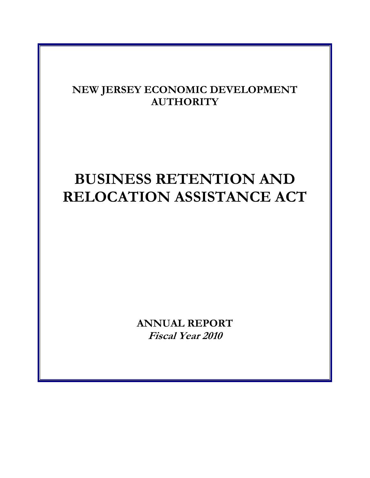# **NEW JERSEY ECONOMIC DEVELOPMENT AUTHORITY**

# **BUSINESS RETENTION AND RELOCATION ASSISTANCE ACT**

**ANNUAL REPORT Fiscal Year 2010**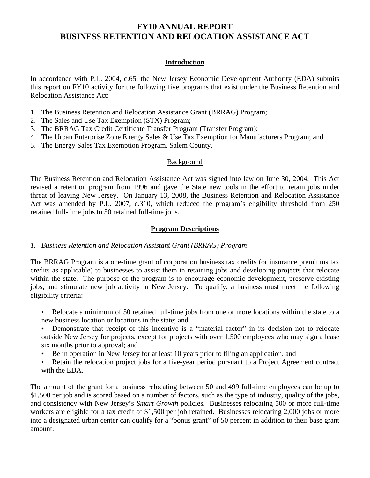#### **Introduction**

In accordance with P.L. 2004, c.65, the New Jersey Economic Development Authority (EDA) submits this report on FY10 activity for the following five programs that exist under the Business Retention and Relocation Assistance Act:

- 1. The Business Retention and Relocation Assistance Grant (BRRAG) Program;
- 2. The Sales and Use Tax Exemption (STX) Program;
- 3. The BRRAG Tax Credit Certificate Transfer Program (Transfer Program);
- 4. The Urban Enterprise Zone Energy Sales & Use Tax Exemption for Manufacturers Program; and
- 5. The Energy Sales Tax Exemption Program, Salem County.

#### Background

The Business Retention and Relocation Assistance Act was signed into law on June 30, 2004. This Act revised a retention program from 1996 and gave the State new tools in the effort to retain jobs under threat of leaving New Jersey. On January 13, 2008, the Business Retention and Relocation Assistance Act was amended by P.L. 2007, c.310, which reduced the program's eligibility threshold from 250 retained full-time jobs to 50 retained full-time jobs.

#### **Program Descriptions**

#### *1. Business Retention and Relocation Assistant Grant (BRRAG) Program*

The BRRAG Program is a one-time grant of corporation business tax credits (or insurance premiums tax credits as applicable) to businesses to assist them in retaining jobs and developing projects that relocate within the state. The purpose of the program is to encourage economic development, preserve existing jobs, and stimulate new job activity in New Jersey. To qualify, a business must meet the following eligibility criteria:

- Relocate a minimum of 50 retained full-time jobs from one or more locations within the state to a new business location or locations in the state; and
- Demonstrate that receipt of this incentive is a "material factor" in its decision not to relocate outside New Jersey for projects, except for projects with over 1,500 employees who may sign a lease six months prior to approval; and
- Be in operation in New Jersey for at least 10 years prior to filing an application, and
- Retain the relocation project jobs for a five-year period pursuant to a Project Agreement contract with the EDA.

The amount of the grant for a business relocating between 50 and 499 full-time employees can be up to \$1,500 per job and is scored based on a number of factors, such as the type of industry, quality of the jobs, and consistency with New Jersey's *Smart Growth* policies. Businesses relocating 500 or more full-time workers are eligible for a tax credit of \$1,500 per job retained. Businesses relocating 2,000 jobs or more into a designated urban center can qualify for a "bonus grant" of 50 percent in addition to their base grant amount.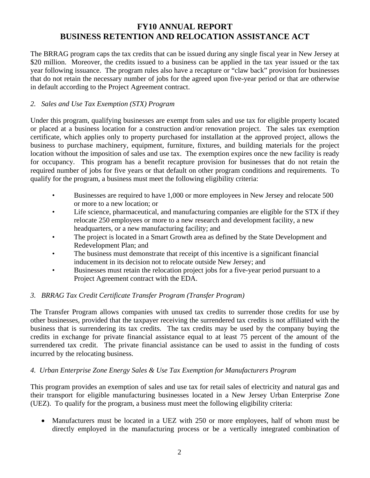The BRRAG program caps the tax credits that can be issued during any single fiscal year in New Jersey at \$20 million. Moreover, the credits issued to a business can be applied in the tax year issued or the tax year following issuance. The program rules also have a recapture or "claw back" provision for businesses that do not retain the necessary number of jobs for the agreed upon five-year period or that are otherwise in default according to the Project Agreement contract.

#### *2. Sales and Use Tax Exemption (STX) Program*

Under this program, qualifying businesses are exempt from sales and use tax for eligible property located or placed at a business location for a construction and/or renovation project. The sales tax exemption certificate, which applies only to property purchased for installation at the approved project, allows the business to purchase machinery, equipment, furniture, fixtures, and building materials for the project location without the imposition of sales and use tax. The exemption expires once the new facility is ready for occupancy. This program has a benefit recapture provision for businesses that do not retain the required number of jobs for five years or that default on other program conditions and requirements. To qualify for the program, a business must meet the following eligibility criteria:

- Businesses are required to have 1,000 or more employees in New Jersey and relocate 500 or more to a new location; or
- Life science, pharmaceutical, and manufacturing companies are eligible for the STX if they relocate 250 employees or more to a new research and development facility, a new headquarters, or a new manufacturing facility; and
- The project is located in a Smart Growth area as defined by the State Development and Redevelopment Plan; and
- The business must demonstrate that receipt of this incentive is a significant financial inducement in its decision not to relocate outside New Jersey; and
- Businesses must retain the relocation project jobs for a five-year period pursuant to a Project Agreement contract with the EDA.

## *3. BRRAG Tax Credit Certificate Transfer Program (Transfer Program)*

The Transfer Program allows companies with unused tax credits to surrender those credits for use by other businesses, provided that the taxpayer receiving the surrendered tax credits is not affiliated with the business that is surrendering its tax credits. The tax credits may be used by the company buying the credits in exchange for private financial assistance equal to at least 75 percent of the amount of the surrendered tax credit. The private financial assistance can be used to assist in the funding of costs incurred by the relocating business.

#### *4. Urban Enterprise Zone Energy Sales & Use Tax Exemption for Manufacturers Program*

This program provides an exemption of sales and use tax for retail sales of electricity and natural gas and their transport for eligible manufacturing businesses located in a New Jersey Urban Enterprise Zone (UEZ). To qualify for the program, a business must meet the following eligibility criteria:

• Manufacturers must be located in a UEZ with 250 or more employees, half of whom must be directly employed in the manufacturing process or be a vertically integrated combination of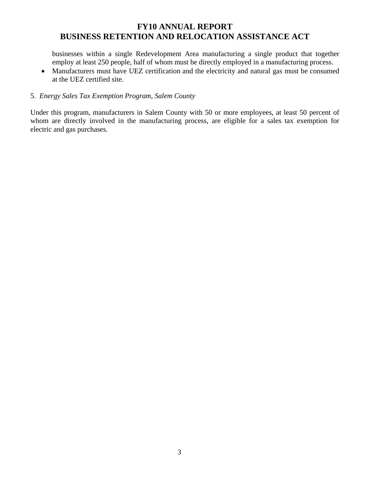businesses within a single Redevelopment Area manufacturing a single product that together employ at least 250 people, half of whom must be directly employed in a manufacturing process.

• Manufacturers must have UEZ certification and the electricity and natural gas must be consumed at the UEZ certified site.

#### 5. *Energy Sales Tax Exemption Program, Salem County*

Under this program, manufacturers in Salem County with 50 or more employees, at least 50 percent of whom are directly involved in the manufacturing process, are eligible for a sales tax exemption for electric and gas purchases.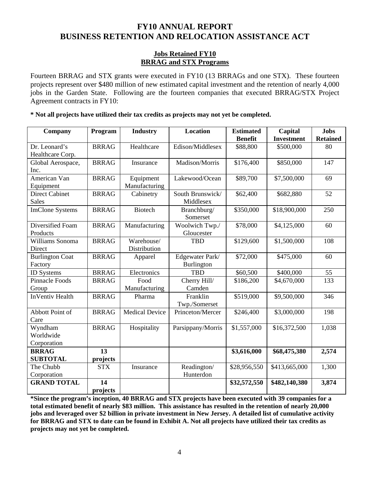#### **Jobs Retained FY10 BRRAG and STX Programs**

Fourteen BRRAG and STX grants were executed in FY10 (13 BRRAGs and one STX). These fourteen projects represent over \$480 million of new estimated capital investment and the retention of nearly 4,000 jobs in the Garden State. Following are the fourteen companies that executed BRRAG/STX Project Agreement contracts in FY10:

**\* Not all projects have utilized their tax credits as projects may not yet be completed.** 

| Company                | Program      | <b>Industry</b>       | Location          | <b>Estimated</b> | Capital           | <b>Jobs</b>     |  |  |
|------------------------|--------------|-----------------------|-------------------|------------------|-------------------|-----------------|--|--|
|                        |              |                       |                   | <b>Benefit</b>   | <b>Investment</b> | <b>Retained</b> |  |  |
| Dr. Leonard's          | <b>BRRAG</b> | Healthcare            | Edison/Middlesex  | \$88,800         | \$500,000         | 80              |  |  |
| Healthcare Corp.       |              |                       |                   |                  |                   |                 |  |  |
| Global Aerospace,      | <b>BRRAG</b> | Insurance             | Madison/Morris    | \$176,400        | \$850,000         | 147             |  |  |
| Inc.                   |              |                       |                   |                  |                   |                 |  |  |
| American Van           | <b>BRRAG</b> | Equipment             | Lakewood/Ocean    | \$89,700         | \$7,500,000       | 69              |  |  |
| Equipment              |              | Manufacturing         |                   |                  |                   |                 |  |  |
| <b>Direct Cabinet</b>  | <b>BRRAG</b> | Cabinetry             | South Brunswick/  | \$62,400         | \$682,880         | 52              |  |  |
| <b>Sales</b>           |              |                       | Middlesex         |                  |                   |                 |  |  |
| <b>ImClone Systems</b> | <b>BRRAG</b> | <b>Biotech</b>        | Branchburg/       | \$350,000        | \$18,900,000      | 250             |  |  |
|                        |              |                       | Somerset          |                  |                   |                 |  |  |
| Diversified Foam       | <b>BRRAG</b> | Manufacturing         | Woolwich Twp./    | \$78,000         | \$4,125,000       | 60              |  |  |
| Products               |              |                       | Gloucester        |                  |                   |                 |  |  |
| Williams Sonoma        | <b>BRRAG</b> | Warehouse/            | <b>TBD</b>        | \$129,600        | \$1,500,000       | 108             |  |  |
| Direct                 |              | Distribution          |                   |                  |                   |                 |  |  |
| <b>Burlington Coat</b> | <b>BRRAG</b> | Apparel               | Edgewater Park/   | \$72,000         | \$475,000         | 60              |  |  |
| Factory                |              |                       | <b>Burlington</b> |                  |                   |                 |  |  |
| <b>ID</b> Systems      | <b>BRRAG</b> | Electronics           | <b>TBD</b>        | \$60,500         | \$400,000         | 55              |  |  |
| <b>Pinnacle Foods</b>  | <b>BRRAG</b> | Food                  | Cherry Hill/      | \$186,200        | \$4,670,000       | 133             |  |  |
| Group                  |              | Manufacturing         | Camden            |                  |                   |                 |  |  |
| <b>InVentiv Health</b> | <b>BRRAG</b> | Pharma                | Franklin          | \$519,000        | \$9,500,000       | 346             |  |  |
|                        |              |                       | Twp./Somerset     |                  |                   |                 |  |  |
| Abbott Point of        | <b>BRRAG</b> | <b>Medical Device</b> | Princeton/Mercer  | \$246,400        | \$3,000,000       | 198             |  |  |
| Care                   |              |                       |                   |                  |                   |                 |  |  |
| Wyndham                | <b>BRRAG</b> | Hospitality           | Parsippany/Morris | \$1,557,000      | \$16,372,500      | 1,038           |  |  |
| Worldwide              |              |                       |                   |                  |                   |                 |  |  |
| Corporation            |              |                       |                   |                  |                   |                 |  |  |
| <b>BRRAG</b>           | 13           |                       |                   | \$3,616,000      | \$68,475,380      | 2,574           |  |  |
| <b>SUBTOTAL</b>        | projects     |                       |                   |                  |                   |                 |  |  |
| The Chubb              | <b>STX</b>   | Insurance             | Readington/       | \$28,956,550     | \$413,665,000     | 1,300           |  |  |
| Corporation            |              |                       | Hunterdon         |                  |                   |                 |  |  |
| <b>GRAND TOTAL</b>     | 14           |                       |                   | \$32,572,550     | \$482,140,380     | 3,874           |  |  |
|                        | projects     |                       |                   |                  |                   |                 |  |  |

**\*Since the program's inception, 40 BRRAG and STX projects have been executed with 39 companies for a total estimated benefit of nearly \$83 million. This assistance has resulted in the retention of nearly 20,000 jobs and leveraged over \$2 billion in private investment in New Jersey. A detailed list of cumulative activity for BRRAG and STX to date can be found in Exhibit A. Not all projects have utilized their tax credits as projects may not yet be completed.**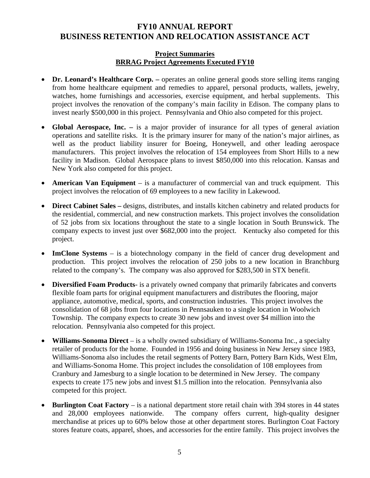#### **Project Summaries BRRAG Project Agreements Executed FY10**

- **Dr. Leonard's Healthcare Corp.** operates an online general goods store selling items ranging from home healthcare equipment and remedies to apparel, personal products, wallets, jewelry, watches, home furnishings and accessories, exercise equipment, and herbal supplements. This project involves the renovation of the company's main facility in Edison. The company plans to invest nearly \$500,000 in this project. Pennsylvania and Ohio also competed for this project.
- **Global Aerospace, Inc.** is a major provider of insurance for all types of general aviation operations and satellite risks. It is the primary insurer for many of the nation's major airlines, as well as the product liability insurer for Boeing, Honeywell, and other leading aerospace manufacturers. This project involves the relocation of 154 employees from Short Hills to a new facility in Madison. Global Aerospace plans to invest \$850,000 into this relocation. Kansas and New York also competed for this project.
- **American Van Equipment** is a manufacturer of commercial van and truck equipment. This project involves the relocation of 69 employees to a new facility in Lakewood.
- **Direct Cabinet Sales** designs, distributes, and installs kitchen cabinetry and related products for the residential, commercial, and new construction markets. This project involves the consolidation of 52 jobs from six locations throughout the state to a single location in South Brunswick. The company expects to invest just over \$682,000 into the project. Kentucky also competed for this project.
- **ImClone Systems** is a biotechnology company in the field of cancer drug development and production. This project involves the relocation of 250 jobs to a new location in Branchburg related to the company's. The company was also approved for \$283,500 in STX benefit.
- **Diversified Foam Products** is a privately owned company that primarily fabricates and converts flexible foam parts for original equipment manufacturers and distributes the flooring, major appliance, automotive, medical, sports, and construction industries. This project involves the consolidation of 68 jobs from four locations in Pennsauken to a single location in Woolwich Township. The company expects to create 30 new jobs and invest over \$4 million into the relocation. Pennsylvania also competed for this project.
- **Williams-Sonoma Direct** is a wholly owned subsidiary of Williams-Sonoma Inc., a specialty retailer of products for the home. Founded in 1956 and doing business in New Jersey since 1983, Williams-Sonoma also includes the retail segments of Pottery Barn, Pottery Barn Kids, West Elm, and Williams-Sonoma Home. This project includes the consolidation of 108 employees from Cranbury and Jamesburg to a single location to be determined in New Jersey. The company expects to create 175 new jobs and invest \$1.5 million into the relocation. Pennsylvania also competed for this project.
- **Burlington Coat Factory** is a national department store retail chain with 394 stores in 44 states and 28,000 employees nationwide. The company offers current, high-quality designer merchandise at prices up to 60% below those at other department stores. Burlington Coat Factory stores feature coats, apparel, shoes, and accessories for the entire family. This project involves the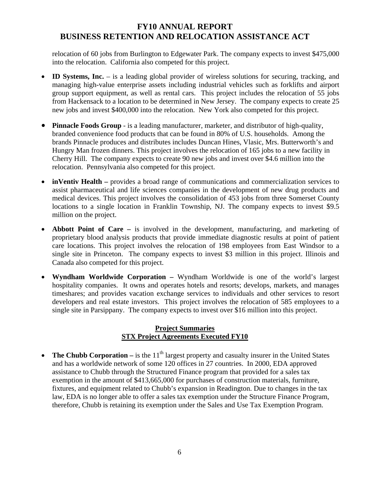relocation of 60 jobs from Burlington to Edgewater Park. The company expects to invest \$475,000 into the relocation. California also competed for this project.

- **ID Systems, Inc.** is a leading global provider of wireless solutions for securing, tracking, and managing high-value enterprise assets including industrial vehicles such as forklifts and airport group support equipment, as well as rental cars. This project includes the relocation of 55 jobs from Hackensack to a location to be determined in New Jersey. The company expects to create 25 new jobs and invest \$400,000 into the relocation. New York also competed for this project.
- **Pinnacle Foods Group** is a leading manufacturer, marketer, and distributor of high-quality, branded convenience food products that can be found in 80% of U.S. households. Among the brands Pinnacle produces and distributes includes Duncan Hines, Vlasic, Mrs. Butterworth's and Hungry Man frozen dinners. This project involves the relocation of 165 jobs to a new facility in Cherry Hill. The company expects to create 90 new jobs and invest over \$4.6 million into the relocation. Pennsylvania also competed for this project.
- **inVentiv Health** provides a broad range of communications and commercialization services to assist pharmaceutical and life sciences companies in the development of new drug products and medical devices. This project involves the consolidation of 453 jobs from three Somerset County locations to a single location in Franklin Township, NJ. The company expects to invest \$9.5 million on the project.
- **Abbott Point of Care** is involved in the development, manufacturing, and marketing of proprietary blood analysis products that provide immediate diagnostic results at point of patient care locations. This project involves the relocation of 198 employees from East Windsor to a single site in Princeton. The company expects to invest \$3 million in this project. Illinois and Canada also competed for this project.
- **Wyndham Worldwide Corporation** Wyndham Worldwide is one of the world's largest hospitality companies. It owns and operates hotels and resorts; develops, markets, and manages timeshares; and provides vacation exchange services to individuals and other services to resort developers and real estate investors. This project involves the relocation of 585 employees to a single site in Parsippany. The company expects to invest over \$16 million into this project.

#### **Project Summaries STX Project Agreements Executed FY10**

• **The Chubb Corporation** – is the  $11<sup>th</sup>$  largest property and casualty insurer in the United States and has a worldwide network of some 120 offices in 27 countries. In 2000, EDA approved assistance to Chubb through the Structured Finance program that provided for a sales tax exemption in the amount of \$413,665,000 for purchases of construction materials, furniture, fixtures, and equipment related to Chubb's expansion in Readington. Due to changes in the tax law, EDA is no longer able to offer a sales tax exemption under the Structure Finance Program, therefore, Chubb is retaining its exemption under the Sales and Use Tax Exemption Program.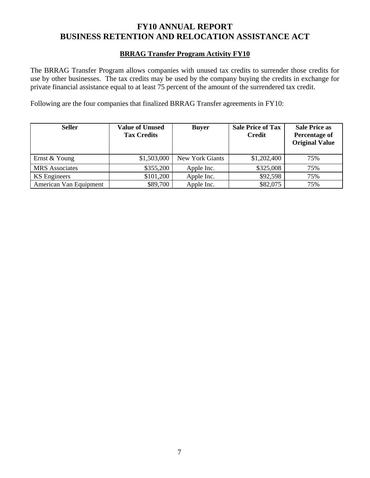#### **BRRAG Transfer Program Activity FY10**

The BRRAG Transfer Program allows companies with unused tax credits to surrender those credits for use by other businesses. The tax credits may be used by the company buying the credits in exchange for private financial assistance equal to at least 75 percent of the amount of the surrendered tax credit.

Following are the four companies that finalized BRRAG Transfer agreements in FY10:

| <b>Seller</b>          | <b>Value of Unused</b><br><b>Tax Credits</b> | <b>Buyer</b>    | <b>Sale Price of Tax</b><br><b>Credit</b> | <b>Sale Price as</b><br>Percentage of<br><b>Original Value</b> |  |
|------------------------|----------------------------------------------|-----------------|-------------------------------------------|----------------------------------------------------------------|--|
| Ernst & Young          | \$1,503,000                                  | New York Giants | \$1,202,400                               | 75%                                                            |  |
| <b>MRS</b> Associates  | \$355,200                                    | Apple Inc.      | \$325,008                                 | 75%                                                            |  |
| <b>KS</b> Engineers    | \$101,200                                    | Apple Inc.      | \$92,598                                  | 75%                                                            |  |
| American Van Equipment | \$89,700                                     | Apple Inc.      | \$82,075                                  | 75%                                                            |  |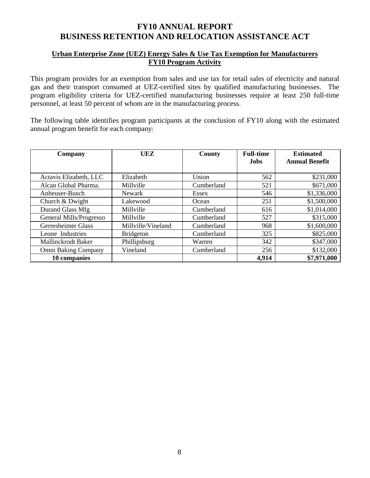#### **Urban Enterprise Zone (UEZ) Energy Sales & Use Tax Exemption for Manufacturers FY10 Program Activity**

This program provides for an exemption from sales and use tax for retail sales of electricity and natural gas and their transport consumed at UEZ-certified sites by qualified manufacturing businesses. The program eligibility criteria for UEZ-certified manufacturing businesses require at least 250 full-time personnel, at least 50 percent of whom are in the manufacturing process.

The following table identifies program participants at the conclusion of FY10 along with the estimated annual program benefit for each company:

| Company                    | UEZ                | County     | <b>Full-time</b> | <b>Estimated</b>      |
|----------------------------|--------------------|------------|------------------|-----------------------|
|                            |                    |            | <b>Jobs</b>      | <b>Annual Benefit</b> |
|                            |                    |            |                  |                       |
| Actavis Elizabeth, LLC     | Elizabeth          | Union      | 562              | \$231,000             |
| Alcan Global Pharma.       | Millville          | Cumberland | 521              | \$671,000             |
| Anheuser-Busch             | <b>Newark</b>      | Essex      | 546              | \$1,336,000           |
| Church & Dwight            | Lakewood           | Ocean      | 251              | \$1,500,000           |
| Durand Glass Mfg           | Millville          | Cumberland | 616              | \$1,014,000           |
| General Mills/Progresso    | Millville          | Cumberland | 527              | \$315,000             |
| Gerresheimer Glass         | Millville/Vineland | Cumberland | 968              | \$1,600,000           |
| Leone Industries           | <b>Bridgeton</b>   | Cumberland | 325              | \$825,000             |
| Mallinckrodt Baker         | Phillipsburg       | Warren     | 342              | \$347,000             |
| <b>Omni Baking Company</b> | Vineland           | Cumberland | 256              | \$132,000             |
| 10 companies               |                    |            | 4,914            | \$7,971,000           |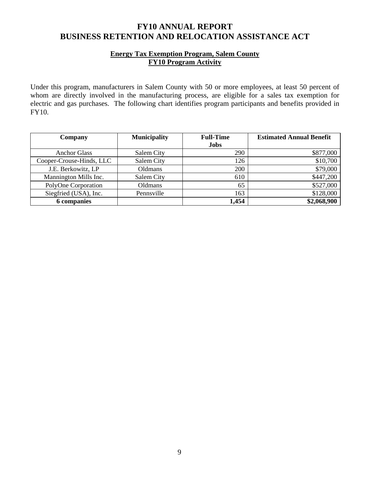### **Energy Tax Exemption Program, Salem County FY10 Program Activity**

Under this program, manufacturers in Salem County with 50 or more employees, at least 50 percent of whom are directly involved in the manufacturing process, are eligible for a sales tax exemption for electric and gas purchases. The following chart identifies program participants and benefits provided in FY10.

| Company                  | <b>Municipality</b> | <b>Full-Time</b> | <b>Estimated Annual Benefit</b> |
|--------------------------|---------------------|------------------|---------------------------------|
|                          |                     | <b>Jobs</b>      |                                 |
| <b>Anchor Glass</b>      | Salem City          | 290              | \$877,000                       |
| Cooper-Crouse-Hinds, LLC | Salem City          | 126              | \$10,700                        |
| J.E. Berkowitz, LP       | Oldmans             | 200              | \$79,000                        |
| Mannington Mills Inc.    | Salem City          | 610              | \$447,200                       |
| PolyOne Corporation      | Oldmans             | 65               | \$527,000                       |
| Siegfried (USA), Inc.    | Pennsville          | 163              | \$128,000                       |
| <b>6</b> companies       |                     | 1,454            | \$2,068,900                     |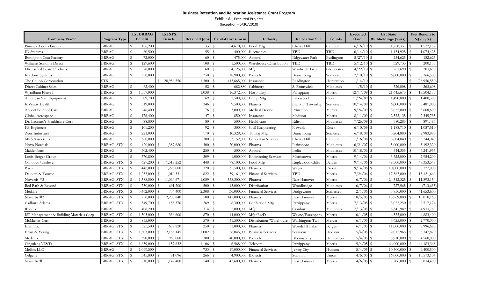#### **Business Retention and Relocation Assistance Grant Program** Exhibit A ‐ Executed Projects (Inception ‐ 6/30/2010)

|                                          |                   |                    | <b>Est BRRAG</b> | Est STX                       |                      |                             |                             |                        |            | Executed | <b>Est State</b>                 | Net Benefit to      |
|------------------------------------------|-------------------|--------------------|------------------|-------------------------------|----------------------|-----------------------------|-----------------------------|------------------------|------------|----------|----------------------------------|---------------------|
| <b>Company Name</b>                      | Program Type      |                    | <b>Benefit</b>   | <b>Benefit</b>                | <b>Retained Jobs</b> | <b>Capital Investment</b>   | Industry                    | <b>Relocation Site</b> | County     | Date     | Withholdings (5 yrs)             | $NJ(5 \text{ yrs})$ |
| Pinnacle Foods Group                     | BRRAG             | $\mathcal{S}$      | 186,200          |                               | 133                  | 4,670,000<br>S              | Food Mfg                    | Cherry Hill            | Camden     | 6/16/10  | $\mathcal{S}$<br>1,758,357       | 1,572,157           |
| ID Systems                               | <b>BRRAG</b>      | $\mathbf S$        | 60,500           |                               | 55                   | 400,000<br>-S               | Electronics                 | <b>TBD</b>             | <b>TBD</b> | 6/14/10  | -S<br>1,134,925                  | 1,074,425           |
| <b>Burlington Coat Factory</b>           | <b>BRRAG</b>      | $\mathcal{S}$      | 72,000           |                               | 60                   | 475,000<br>$\mathcal{S}$    | Apparel                     | <b>Edgewater Park</b>  | Burlington | 5/27/10  | 254,625<br>$\mathcal{S}$         | 182,625             |
| Williams Sonoma Direct                   | BRRAG             | S                  | 129,600          |                               | 108                  | 1,500,000<br>l \$           | Warehouse/Distribution      | TBD                    | ГBD        | 5/12/10  | 329,735<br>S                     | 200,135             |
| Diversified Foam Products                | BRRAG             | -S                 | 78,000           |                               | 60                   | 4,125,000<br>- 9            | Mfg                         | Woolwich Twp           | Gloucester | 4/22/10  | S<br>281,690                     | 203,690             |
| ImClone Systems                          | <b>BRRAG</b>      | $\mathcal{S}$      | 350,000          |                               | 250                  | 18,900,000<br>-9            | Biotech                     | Branchburg             | Somerset   | 2/10/10  | 6,000,000<br>$\mathcal{S}$       | 5,366,500           |
| The Chubb Corporation                    | <b>STX</b>        |                    |                  | 28,956,550<br>$\mathbf{s}$    | 1,300                | 413,665,000                 | Insurance                   | Readington             | Hunterdon  | 1/14/10  |                                  | (28,956,550)        |
| <b>Direct Cabinet Sales</b>              | <b>BRRAG</b>      | $\mathbf S$        | 62,400           |                               | 52                   | 682,880<br>l \$             | Cabinetry                   | S. Brunswick           | Middlesex  | 1/5/10   | 326,008<br>S                     | 263,608             |
| Wyndham Phase I                          | <b>BRRAG</b>      | -S                 | 1,557,000        |                               | 1,038                | 16,372,500<br>-S            | Hospitality                 | Parsippany             | Morris     | 12/17/09 | -S<br>21,645,675                 | 19,504,177          |
| American Van Equipment                   | <b>BRRAG</b>      | S                  | 89,700           |                               | 69                   | 7,500,000<br>$\mathcal{S}$  | Equip Mfg                   | Lakewood               | Ocean      | 11/24/09 | S<br>1,490,000                   | 1,400,300           |
| InVentiv Health                          | BRRAG             | S                  | 519,000          |                               | 346                  | 9,500,000                   | Pharma                      | Franklin Township      | Somerset   | 10/14/09 | S<br>6,000,000                   | 5,481,000           |
| Abbott Point of Care                     | BRRAG             | S                  | 246,400          |                               | 176                  | 3,000,000<br><b>S</b>       | Medical Device              | Princeton              | Mercer     | 9/24/09  | S<br>3,855,000                   | 3,608,600           |
| Global Aerospace                         | <b>BRRAG</b>      | -S                 | 176,400          |                               | 147                  | $\mathbf{s}$<br>850,000     | Insurance                   | Madison                | Morris     | 8/11/09  | -S<br>2,522,135                  | 2,345,735           |
| Dr. Leonard's Healthcare Corp            | <b>BRRAG</b>      | $\mathbf S$        | 88,800           |                               | 80                   | $\mathbf{s}$<br>500,000     | Healthcare                  | Edison                 | Middlesex  | 7/26/09  | $\mathbf S$<br>980,285           | 891,485             |
| KS Engineers                             | <b>BRRAG</b>      | $\mathbf S$        | 101,200          |                               | 92                   | 300,000<br>- 9              | Civil Engineering           | Newark                 | Essex      | 6/10/09  | -S<br>1,188,710                  | 1,087,510           |
| Zeus Industries                          | <b>BRRAG</b>      | $\mathcal{S}$      | 221,000          |                               | 170                  | $\mathcal{S}$<br>10,329,000 | Tubing Mfg                  | Branchburg             | Somerset   | 6/18/08  | -S<br>3,204,880                  | 2,983,880           |
| <b>MRS</b> Associates                    | <b>BRRAG</b>      | $\mathbf{\hat{S}}$ | 360,000          |                               | 300                  | 3,152,000                   | Collection Services         | Cherry Hill            | Camden     | 1/16/08  | 3,604,040<br>-S                  | 3,244,040           |
| Novo Nordisk                             | BRRAG, STX        | S                  | 420,000          | 1,387,680                     | 300                  | 20,000,000<br>- S           | Pharma                      | Plainsboro             | Middlesex  | 6/21/0   | 5,000,000<br>$\mathcal{L}$       | 3,192,320           |
| Maidenform                               | <b>BRRAG</b>      | -S                 | 302,400          |                               | 250                  | 500,000                     | Apparel                     | Iselin                 | Middlesex  | 10/18/06 | 4,544,355<br>-S                  | 4,241,955           |
| Louis Berger Group                       | BRRAG             | -S                 | 370,800          |                               | 309                  | 1,000,000<br>- 9            | <b>Engineering Services</b> | Morristown             | Morris     | 9/14/06  | S<br>3,325,000                   | 2,954,200           |
| Conopco/Unilever                         | BRRAG, STX        | S                  | 627,200          | 1,519,252<br>-S               | 448                  | 78,100,000<br>- S           | Food Mfg                    | Englewood Cliffs       | Bergen     | 9/14/06  | 49,500,000<br>S                  | 47, 353, 548        |
| Bayer                                    | BRRAG, STX        | $\mathbf{S}$       | 448,000          | 1,225,000                     | 320                  | 35,500,000<br>- S           | Pharma                      | Wayne                  | Passaic    | 9/14/06  | $\mathbf{s}$<br>10,000,000       | 8,327,000           |
| Deloitte & Touche                        | BRRAG, STX        | S                  | 1,233,000        | 1,010,331<br>$\mathbf{s}$     | 822                  | 39,161,000<br><b>S</b>      | <b>Financial Services</b>   | <b>TBD</b>             | Morris     | 7/24/06  | S<br>17,365,000                  | 15,121,669          |
| Novartis #3                              | BRRAG, STX        | -S                 | 1,588,500        | 11,060,671<br><sup>\$</sup>   | 1,059                | 538,300,000<br>-9           | Pharma                      | East Hanover           | Morris     | 6/7/06   | $\mathbf{s}$<br>24,542,325       | 11,893,154          |
| Bed Bath & Beyond                        | BRRAG, STX        | -S                 | 750,000          | 691,200                       | 500                  | 15,000,000<br>$\mathcal{S}$ | Distribution                | Woodbridge             | Middlesex  | 6/7/00   | 727,565<br>S                     | (713, 635)          |
| MetLife                                  | BRRAG, STX        | -S                 | 3,462,000        | 734,400<br><b>S</b>           | 2,308                | 36,000,000<br>- S           | <b>Financial Services</b>   | Bridgewater            | Somerset   | 2/1/06   | 45,850,000<br>S                  | 41,653,600          |
| Novartis #2                              | BRRAG, STX        | S                  | 750,000          | 2,208,840<br><b>S</b>         | 500                  | 147,000,000<br>l S          | Pharma                      | East Hanover           | Morris     | 10/5/05  | -S<br>15,969,000                 | 13,010,160          |
| Cadbury Adams                            | BRRAG, STX        | S                  | 349,700          | 155,376<br>l \$               | 269                  | 8,300,000<br><b>S</b>       | Confection Mfg              | Parsippany             | Morris     | 7/13/05  | 3,022,250<br>S                   | 2,517,174           |
| Rhodia                                   | <b>BRRAG</b>      | -S                 | 408,200          |                               | 314                  | 2,000,000<br>l \$           | Mfg                         | Cranbury               | Middlesex  | 7/13/05  | S<br>5,341,989                   | 4,933,789           |
| ISP Management & Building Materials Corp | BRRAG, STX        | -S                 | 1,305,000        | 336,600<br>$\mathbf{\hat{s}}$ | 870                  | 14,000,000<br>-9            | Mfg/R&D                     | Wayne/Parsippany       | Morris     | 6/1/05   | 6,525,000<br>S                   | 4,883,400           |
| McMaster-Carr                            | <b>BRRAG</b>      | $\mathcal{S}$      | 855,000          |                               | 570                  | $\mathcal{S}$<br>41,500,000 | Distribution/Warehouse      | Washington Twp         | Mercer     | 6/1/05   | -S<br>3,625,000                  | 2,770,000           |
| Eisai, Inc.                              | <b>BRRAG, STX</b> | $\mathbb{S}$       | 325,500          | 677,820                       | 250                  | 31,000,000<br>-S            | Pharma                      | Woodcliff Lake         | Bergen     | 6/1/05   | $\mathbf{\hat{S}}$<br>11,000,000 | 9,996,680           |
| Ernst & Young                            | BRRAG, STX        | \$                 | 1,503,000        | 2,165,145                     | 1,002                | 56,045,000<br>$\mathbf{s}$  | <b>Business Services</b>    | Secaucus               | Hudson     | 5/4/05   | S<br>12,015,965                  | 8,347,820           |
| Medarex                                  | BRRAG, STX        | -S                 | 390,000          | 960,000<br><b>S</b>           | 300                  | 40,000,000<br>$\mathcal{L}$ | Biotech                     | Bloomsbury             | Hunterdon  | 5/4/0    | 5,910,000<br>-S                  | 4,560,000           |
| Cingular (AT&T)                          | BRRAG, STX        | -S                 | 1,659,000        | 157,632<br>l \$               | 1,106                | 6,568,000<br><b>S</b>       | Telecom                     | Parsippany             | Morris     | 5/4/05   | $\mathbf S$<br>66,000,000        | 64,183,368          |
| Mellon LLC                               | BRRAG             | -S                 | 1,099,500        |                               | 733                  | 19,000,000<br>- S           | <b>Financial Services</b>   | Jersey City            | Hudson     | 5/4/05   | 10,500,000<br>-S                 | 9,400,500           |
| Celgene                                  | BRRAG, STX        | $\mathcal{S}$      | 345,800          | 81,096                        | 266                  | 4,900,000                   | Biotech                     | Summit                 | Union      | 4/6/05   | $\mathcal{S}$<br>16,000,000      | 15,573,104          |
| Novartis #1                              | BRRAG, STX        | S                  | 810,000          | 1,142,400<br>$\mathbf{s}$     | 540                  | 47,600,000 Pharma<br>l \$   |                             | East Hanover           | Morris     | 4/6/05   | S<br>7,786,800                   | 5,834,400           |